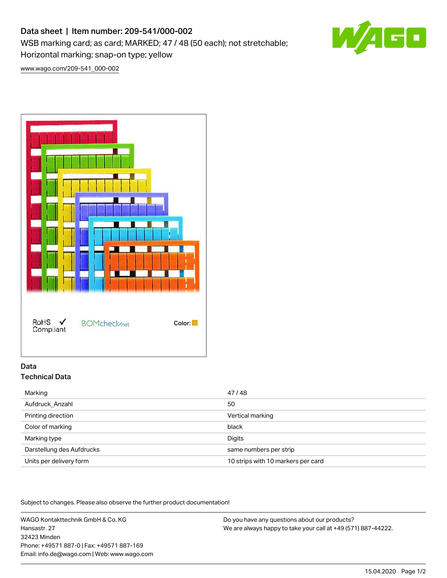# Data sheet | Item number: 209-541/000-002

WSB marking card; as card; MARKED; 47 / 48 (50 each); not stretchable;

Horizontal marking; snap-on type; yellow

[www.wago.com/209-541\\_000-002](http://www.wago.com/209-541_000-002)



# Data Technical Data

| Marking                   | 47/48                              |
|---------------------------|------------------------------------|
| Aufdruck Anzahl           | 50                                 |
| Printing direction        | Vertical marking                   |
| Color of marking          | black                              |
| Marking type              | Digits                             |
| Darstellung des Aufdrucks | same numbers per strip             |
| Units per delivery form   | 10 strips with 10 markers per card |

Subject to changes. Please also observe the further product documentation!

WAGO Kontakttechnik GmbH & Co. KG Hansastr. 27 32423 Minden Phone: +49571 887-0 | Fax: +49571 887-169 Email: info.de@wago.com | Web: www.wago.com

Do you have any questions about our products? We are always happy to take your call at +49 (571) 887-44222.